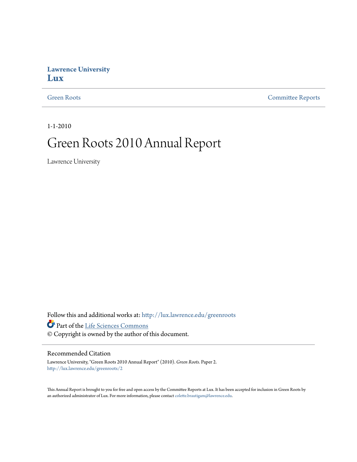#### **Lawrence University [Lux](http://lux.lawrence.edu?utm_source=lux.lawrence.edu%2Fgreenroots%2F2&utm_medium=PDF&utm_campaign=PDFCoverPages)**

[Green Roots](http://lux.lawrence.edu/greenroots?utm_source=lux.lawrence.edu%2Fgreenroots%2F2&utm_medium=PDF&utm_campaign=PDFCoverPages) [Committee Reports](http://lux.lawrence.edu/committee_reports?utm_source=lux.lawrence.edu%2Fgreenroots%2F2&utm_medium=PDF&utm_campaign=PDFCoverPages)

1-1-2010

# Green Roots 2010 Annual Report

Lawrence University

Follow this and additional works at: [http://lux.lawrence.edu/greenroots](http://lux.lawrence.edu/greenroots?utm_source=lux.lawrence.edu%2Fgreenroots%2F2&utm_medium=PDF&utm_campaign=PDFCoverPages)

Part of the [Life Sciences Commons](http://network.bepress.com/hgg/discipline/1016?utm_source=lux.lawrence.edu%2Fgreenroots%2F2&utm_medium=PDF&utm_campaign=PDFCoverPages)

© Copyright is owned by the author of this document.

#### Recommended Citation

Lawrence University, "Green Roots 2010 Annual Report" (2010). *Green Roots.* Paper 2. [http://lux.lawrence.edu/greenroots/2](http://lux.lawrence.edu/greenroots/2?utm_source=lux.lawrence.edu%2Fgreenroots%2F2&utm_medium=PDF&utm_campaign=PDFCoverPages)

This Annual Report is brought to you for free and open access by the Committee Reports at Lux. It has been accepted for inclusion in Green Roots by an authorized administrator of Lux. For more information, please contact [colette.brautigam@lawrence.edu.](mailto:colette.brautigam@lawrence.edu)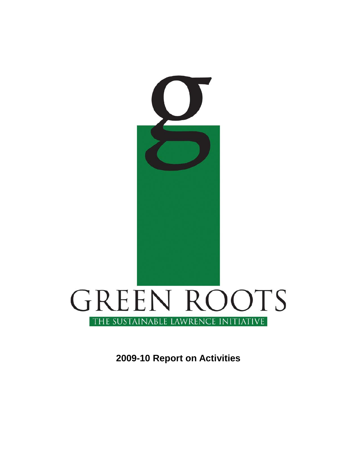

**2009-10 Report on Activities**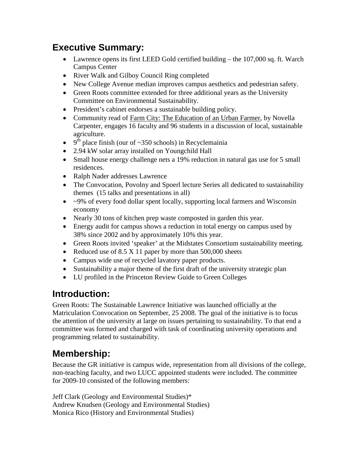# **Executive Summary:**

- Lawrence opens its first LEED Gold certified building the 107,000 sq. ft. Warch Campus Center
- River Walk and Gilboy Council Ring completed
- New College Avenue median improves campus aesthetics and pedestrian safety.
- Green Roots committee extended for three additional years as the University Committee on Environmental Sustainability.
- President's cabinet endorses a sustainable building policy.
- Community read of Farm City: The Education of an Urban Farmer, by Novella Carpenter, engages 16 faculty and 96 students in a discussion of local, sustainable agriculture.
- $9^{th}$  place finish (our of ~350 schools) in Recyclemainia
- 2.94 kW solar array installed on Youngchild Hall
- Small house energy challenge nets a 19% reduction in natural gas use for 5 small residences.
- Ralph Nader addresses Lawrence
- The Convocation, Povolny and Spoerl lecture Series all dedicated to sustainability themes (15 talks and presentations in all)
- $\bullet$   $\sim$ 9% of every food dollar spent locally, supporting local farmers and Wisconsin economy
- Nearly 30 tons of kitchen prep waste composted in garden this year.
- Energy audit for campus shows a reduction in total energy on campus used by 38% since 2002 and by approximately 10% this year.
- Green Roots invited 'speaker' at the Midstates Consortium sustainability meeting.
- Reduced use of  $8.5 \times 11$  paper by more than  $500,000$  sheets
- Campus wide use of recycled lavatory paper products.
- Sustainability a major theme of the first draft of the university strategic plan
- LU profiled in the Princeton Review Guide to Green Colleges

# **Introduction:**

Green Roots: The Sustainable Lawrence Initiative was launched officially at the Matriculation Convocation on September, 25 2008. The goal of the initiative is to focus the attention of the university at large on issues pertaining to sustainability. To that end a committee was formed and charged with task of coordinating university operations and programming related to sustainability.

# **Membership:**

Because the GR initiative is campus wide, representation from all divisions of the college, non-teaching faculty, and two LUCC appointed students were included. The committee for 2009-10 consisted of the following members:

Jeff Clark (Geology and Environmental Studies)\* Andrew Knudsen (Geology and Environmental Studies) Monica Rico (History and Environmental Studies)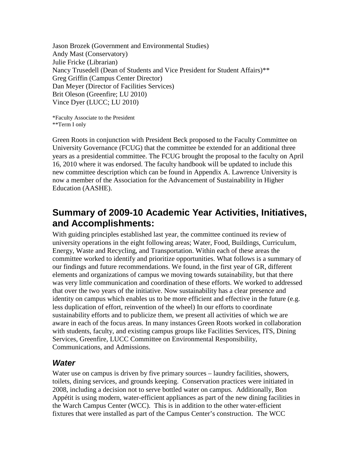Jason Brozek (Government and Environmental Studies) Andy Mast (Conservatory) Julie Fricke (Librarian) Nancy Trusedell (Dean of Students and Vice President for Student Affairs)\*\* Greg Griffin (Campus Center Director) Dan Meyer (Director of Facilities Services) Brit Oleson (Greenfire; LU 2010) Vince Dyer (LUCC; LU 2010)

\*Faculty Associate to the President \*\*Term I only

Green Roots in conjunction with President Beck proposed to the Faculty Committee on University Governance (FCUG) that the committee be extended for an additional three years as a presidential committee. The FCUG brought the proposal to the faculty on April 16, 2010 where it was endorsed. The faculty handbook will be updated to include this new committee description which can be found in Appendix A. Lawrence University is now a member of the Association for the Advancement of Sustainability in Higher Education (AASHE).

## **Summary of 2009-10 Academic Year Activities, Initiatives, and Accomplishments:**

With guiding principles established last year, the committee continued its review of university operations in the eight following areas; Water, Food, Buildings, Curriculum, Energy, Waste and Recycling, and Transportation. Within each of these areas the committee worked to identify and prioritize opportunities. What follows is a summary of our findings and future recommendations. We found, in the first year of GR, different elements and organizations of campus we moving towards sutainability, but that there was very little communication and coordination of these efforts. We worked to addressed that over the two years of the initiative. Now sustainability has a clear presence and identity on campus which enables us to be more efficient and effective in the future (e.g. less duplication of effort, reinvention of the wheel) In our efforts to coordinate sustainability efforts and to publicize them, we present all activities of which we are aware in each of the focus areas. In many instances Green Roots worked in collaboration with students, faculty, and existing campus groups like Facilities Services, ITS, Dining Services, Greenfire, LUCC Committee on Environmental Responsibility, Communications, and Admissions.

### *Water*

Water use on campus is driven by five primary sources – laundry facilities, showers, toilets, dining services, and grounds keeping. Conservation practices were initiated in 2008, including a decision not to serve bottled water on campus. Additionally, Bon Appétit is using modern, water-efficient appliances as part of the new dining facilities in the Warch Campus Center (WCC). This is in addition to the other water-efficient fixtures that were installed as part of the Campus Center's construction. The WCC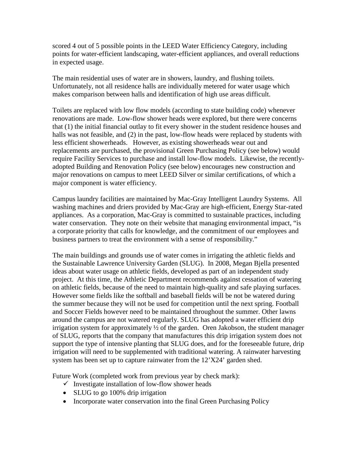scored 4 out of 5 possible points in the LEED Water Efficiency Category, including points for water-efficient landscaping, water-efficient appliances, and overall reductions in expected usage.

The main residential uses of water are in showers, laundry, and flushing toilets. Unfortunately, not all residence halls are individually metered for water usage which makes comparison between halls and identification of high use areas difficult.

Toilets are replaced with low flow models (according to state building code) whenever renovations are made. Low-flow shower heads were explored, but there were concerns that (1) the initial financial outlay to fit every shower in the student residence houses and halls was not feasible, and (2) in the past, low-flow heads were replaced by students with less efficient showerheads. However, as existing showerheads wear out and replacements are purchased, the provisional Green Purchasing Policy (see below) would require Facility Services to purchase and install low-flow models. Likewise, the recentlyadopted Building and Renovation Policy (see below) encourages new construction and major renovations on campus to meet LEED Silver or similar certifications, of which a major component is water efficiency.

Campus laundry facilities are maintained by Mac-Gray Intelligent Laundry Systems. All washing machines and driers provided by Mac-Gray are high-efficient, Energy Star-rated appliances. As a corporation, Mac-Gray is committed to sustainable practices, including water conservation. They note on their website that managing environmental impact, "is a corporate priority that calls for knowledge, and the commitment of our employees and business partners to treat the environment with a sense of responsibility."

The main buildings and grounds use of water comes in irrigating the athletic fields and the Sustainable Lawrence University Garden (SLUG). In 2008, Megan Bjella presented ideas about water usage on athletic fields, developed as part of an independent study project. At this time, the Athletic Department recommends against cessation of watering on athletic fields, because of the need to maintain high-quality and safe playing surfaces. However some fields like the softball and baseball fields will be not be watered during the summer because they will not be used for competition until the next spring. Football and Soccer Fields however need to be maintained throughout the summer. Other lawns around the campus are not watered regularly. SLUG has adopted a water efficient drip irrigation system for approximately  $\frac{1}{2}$  of the garden. Oren Jakobson, the student manager of SLUG, reports that the company that manufactures this drip irrigation system does not support the type of intensive planting that SLUG does, and for the foreseeable future, drip irrigation will need to be supplemented with traditional watering. A rainwater harvesting system has been set up to capture rainwater from the 12'X24' garden shed.

Future Work (completed work from previous year by check mark):

- $\checkmark$  Investigate installation of low-flow shower heads
- SLUG to go 100% drip irrigation
- Incorporate water conservation into the final Green Purchasing Policy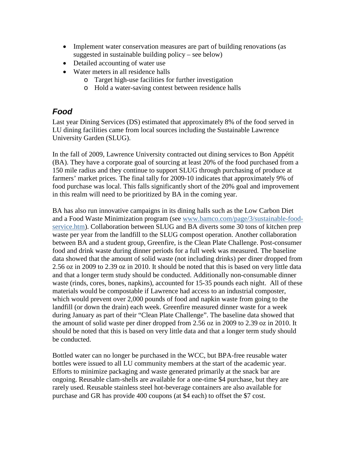- Implement water conservation measures are part of building renovations (as suggested in sustainable building policy – see below)
- Detailed accounting of water use
- Water meters in all residence halls
	- o Target high-use facilities for further investigation
	- o Hold a water-saving contest between residence halls

### *Food*

Last year Dining Services (DS) estimated that approximately 8% of the food served in LU dining facilities came from local sources including the Sustainable Lawrence University Garden (SLUG).

In the fall of 2009, Lawrence University contracted out dining services to Bon Appétit (BA). They have a corporate goal of sourcing at least 20% of the food purchased from a 150 mile radius and they continue to support SLUG through purchasing of produce at farmers' market prices. The final tally for 2009-10 indicates that approximately 9% of food purchase was local. This falls significantly short of the 20% goal and improvement in this realm will need to be prioritized by BA in the coming year.

BA has also run innovative campaigns in its dining halls such as the Low Carbon Diet and a Food Waste Minimization program (see [www.bamco.com/page/3/sustainable-food](http://www.bamco.com/page/3/sustainable-food-service.htm)[service.htm\)](http://www.bamco.com/page/3/sustainable-food-service.htm). Collaboration between SLUG and BA diverts some 30 tons of kitchen prep waste per year from the landfill to the SLUG compost operation. Another collaboration between BA and a student group, Greenfire, is the Clean Plate Challenge. Post-consumer food and drink waste during dinner periods for a full week was measured. The baseline data showed that the amount of solid waste (not including drinks) per diner dropped from 2.56 oz in 2009 to 2.39 oz in 2010. It should be noted that this is based on very little data and that a longer term study should be conducted. Additionally non-consumable dinner waste (rinds, cores, bones, napkins), accounted for 15-35 pounds each night. All of these materials would be compostable if Lawrence had access to an industrial composter, which would prevent over 2,000 pounds of food and napkin waste from going to the landfill (or down the drain) each week. Greenfire measured dinner waste for a week during January as part of their "Clean Plate Challenge". The baseline data showed that the amount of solid waste per diner dropped from 2.56 oz in 2009 to 2.39 oz in 2010. It should be noted that this is based on very little data and that a longer term study should be conducted.

Bottled water can no longer be purchased in the WCC, but BPA-free reusable water bottles were issued to all LU community members at the start of the academic year. Efforts to minimize packaging and waste generated primarily at the snack bar are ongoing. Reusable clam-shells are available for a one-time \$4 purchase, but they are rarely used. Reusable stainless steel hot-beverage containers are also available for purchase and GR has provide 400 coupons (at \$4 each) to offset the \$7 cost.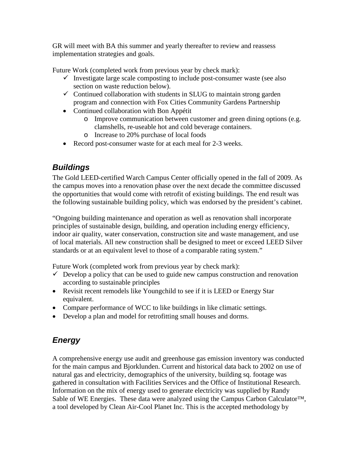GR will meet with BA this summer and yearly thereafter to review and reassess implementation strategies and goals.

Future Work (completed work from previous year by check mark):

- $\checkmark$  Investigate large scale composting to include post-consumer waste (see also section on waste reduction below).
- $\checkmark$  Continued collaboration with students in SLUG to maintain strong garden program and connection with Fox Cities Community Gardens Partnership
- Continued collaboration with Bon Appétit
	- o Improve communication between customer and green dining options (e.g. clamshells, re-useable hot and cold beverage containers.
	- o Increase to 20% purchase of local foods
- Record post-consumer waste for at each meal for 2-3 weeks.

## *Buildings*

The Gold LEED-certified Warch Campus Center officially opened in the fall of 2009. As the campus moves into a renovation phase over the next decade the committee discussed the opportunities that would come with retrofit of existing buildings. The end result was the following sustainable building policy, which was endorsed by the president's cabinet.

"Ongoing building maintenance and operation as well as renovation shall incorporate principles of sustainable design, building, and operation including energy efficiency, indoor air quality, water conservation, construction site and waste management, and use of local materials. All new construction shall be designed to meet or exceed LEED Silver standards or at an equivalent level to those of a comparable rating system."

Future Work (completed work from previous year by check mark):

- $\checkmark$  Develop a policy that can be used to guide new campus construction and renovation according to sustainable principles
- Revisit recent remodels like Youngchild to see if it is LEED or Energy Star equivalent.
- Compare performance of WCC to like buildings in like climatic settings.
- Develop a plan and model for retrofitting small houses and dorms.

## *Energy*

A comprehensive energy use audit and greenhouse gas emission inventory was conducted for the main campus and Bjorklunden. Current and historical data back to 2002 on use of natural gas and electricity, demographics of the university, building sq. footage was gathered in consultation with Facilities Services and the Office of Institutional Research. Information on the mix of energy used to generate electricity was supplied by Randy Sable of WE Energies. These data were analyzed using the Campus Carbon Calculator™, a tool developed by Clean Air-Cool Planet Inc. This is the accepted methodology by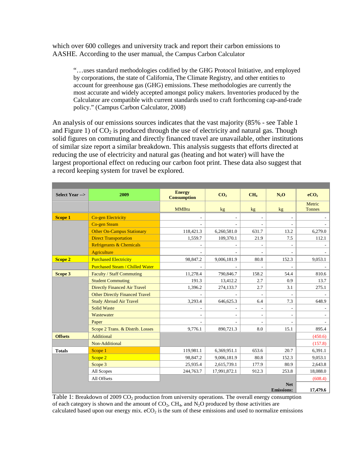which over 600 colleges and university track and report their carbon emissions to AASHE. According to the user manual, the Campus Carbon Calculator

"…uses standard methodologies codified by the GHG Protocol Initiative, and employed by corporations, the state of California, The Climate Registry, and other entities to account for greenhouse gas (GHG) emissions.These methodologies are currently the most accurate and widely accepted amongst policy makers. Inventories produced by the Calculator are compatible with current standards used to craft forthcoming cap-and-trade policy." (Campus Carbon Calculator, 2008)

An analysis of our emissions sources indicates that the vast majority (85% - see Table 1 and Figure 1) of  $CO<sub>2</sub>$  is produced through the use of electricity and natural gas. Though solid figures on commuting and directly financed travel are unavailable, other institutions of similar size report a similar breakdown. This analysis suggests that efforts directed at reducing the use of electricity and natural gas (heating and hot water) will have the largest proportional effect on reducing our carbon foot print. These data also suggest that a record keeping system for travel be explored.

| <b>Select Year --&gt;</b> | 2009                                   | <b>Energy</b><br><b>Consumption</b> | CO <sub>2</sub>          | CH <sub>4</sub>          | $N_2O$                   | eCO <sub>2</sub>        |
|---------------------------|----------------------------------------|-------------------------------------|--------------------------|--------------------------|--------------------------|-------------------------|
|                           |                                        | <b>MMBtu</b>                        | kg <sub>2</sub>          | kg                       | kg <sub>2</sub>          | Metric<br><b>Tonnes</b> |
| <b>Scope 1</b>            | <b>Co-gen Electricity</b>              | $\overline{\phantom{a}}$            | $\overline{\phantom{a}}$ | $\overline{\phantom{m}}$ | $\overline{a}$           |                         |
|                           | <b>Co-gen Steam</b>                    |                                     |                          |                          |                          |                         |
|                           | <b>Other On-Campus Stationary</b>      | 118,421.3                           | 6,260,581.0              | 631.7                    | 13.2                     | 6,279.0                 |
|                           | <b>Direct Transportation</b>           | 1,559.7                             | 109,370.1                | 21.9                     | 7.5                      | 112.1                   |
|                           | <b>Refrigerants &amp; Chemicals</b>    | $\sim$                              |                          | $\overline{\phantom{a}}$ | $\overline{\phantom{a}}$ |                         |
|                           | <b>Agriculture</b>                     |                                     |                          |                          |                          |                         |
| <b>Scope 2</b>            | <b>Purchased Electricity</b>           | 98,847.2                            | 9,006,181.9              | 80.8                     | 152.3                    | 9,053.1                 |
|                           | <b>Purchased Steam / Chilled Water</b> |                                     |                          |                          |                          |                         |
| Scope 3                   | <b>Faculty / Staff Commuting</b>       | 11,278.4                            | 790,846.7                | 158.2                    | 54.4                     | 810.6                   |
|                           | <b>Student Commuting</b>               | 191.3                               | 13,412.2                 | 2.7                      | 0.9                      | 13.7                    |
|                           | <b>Directly Financed Air Travel</b>    | 1,396.2                             | 274,133.7                | 2.7                      | 3.1                      | 275.1                   |
|                           | <b>Other Directly Financed Travel</b>  |                                     |                          |                          |                          |                         |
|                           | <b>Study Abroad Air Travel</b>         | 3,293.4                             | 646,625.3                | 6.4                      | 7.3                      | 648.9                   |
|                           | <b>Solid Waste</b>                     | $\overline{\phantom{a}}$            | $\overline{\phantom{a}}$ | $\overline{\phantom{a}}$ | $\overline{\phantom{a}}$ |                         |
|                           | Wastewater                             |                                     |                          | $\overline{\phantom{a}}$ | $\overline{\phantom{a}}$ |                         |
|                           | Paper                                  |                                     |                          | $\overline{\phantom{a}}$ | $\overline{\phantom{a}}$ |                         |
|                           | Scope 2 Trans. & Distrib. Losses       | 9,776.1                             | 890,721.3                | 8.0                      | 15.1                     | 895.4                   |
| <b>Offsets</b>            | Additional                             |                                     |                          |                          |                          | (450.6)                 |
|                           | Non-Additional                         |                                     |                          |                          |                          | (157.8)                 |
| <b>Totals</b>             | Scope 1                                | 119,981.1                           | 6,369,951.1              | 653.6                    | 20.7                     | 6,391.1                 |
|                           | Scope 2                                | 98,847.2                            | 9,006,181.9              | 80.8                     | 152.3                    | 9,053.1                 |
|                           | Scope 3                                | 25,935.4                            | 2,615,739.1              | 177.9                    | 80.9                     | 2,643.8                 |
|                           | All Scopes                             | 244,763.7                           | 17,991,872.1             | 912.3                    | 253.8                    | 18,088.0                |
|                           | All Offsets                            |                                     |                          |                          |                          | (608.4)                 |
|                           |                                        |                                     |                          |                          | <b>Net</b>               |                         |
|                           |                                        |                                     |                          |                          | <b>Emissions:</b>        | 17,479.6                |

Table 1: Breakdown of 2009  $CO<sub>2</sub>$  production from university operations. The overall energy consumption of each category is shown and the amount of  $CO_2$ ,  $CH_4$ , and  $N_2O$  produced by those activities are calculated based upon our energy mix.  $eCO<sub>2</sub>$  is the sum of these emissions and used to normalize emissions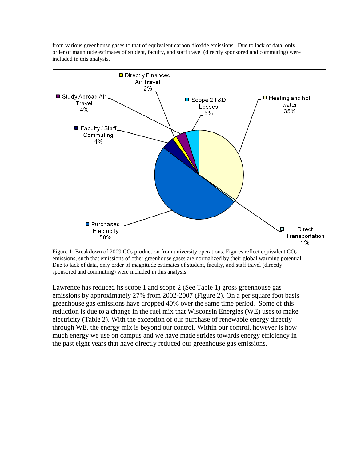from various greenhouse gases to that of equivalent carbon dioxide emissions.. Due to lack of data, only order of magnitude estimates of student, faculty, and staff travel (directly sponsored and commuting) were included in this analysis.



Figure 1: Breakdown of 2009 CO<sub>2</sub> production from university operations. Figures reflect equivalent CO<sub>2</sub> emissions, such that emissions of other greenhouse gases are normalized by their global warming potential. Due to lack of data, only order of magnitude estimates of student, faculty, and staff travel (directly sponsored and commuting) were included in this analysis.

Lawrence has reduced its scope 1 and scope 2 (See Table 1) gross greenhouse gas emissions by approximately 27% from 2002-2007 (Figure 2). On a per square foot basis greenhouse gas emissions have dropped 40% over the same time period. Some of this reduction is due to a change in the fuel mix that Wisconsin Energies (WE) uses to make electricity (Table 2). With the exception of our purchase of renewable energy directly through WE, the energy mix is beyond our control. Within our control, however is how much energy we use on campus and we have made strides towards energy efficiency in the past eight years that have directly reduced our greenhouse gas emissions.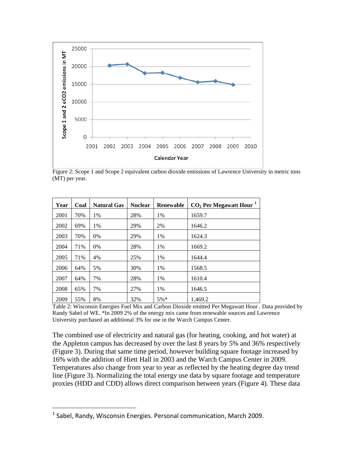

Figure 2: Scope 1 and Scope 2 equivalent carbon dioxide emissions of Lawrence University in metric tons (MT) per year.

| Year | Coal | <b>Natural Gas</b> | <b>Nuclear</b> | <b>Renewable</b> | $CO2$ Per Megawatt Hour <sup>1</sup> |
|------|------|--------------------|----------------|------------------|--------------------------------------|
| 2001 | 70%  | 1%                 | 28%            | 1%               | 1659.7                               |
| 2002 | 69%  | 1%                 | 29%            | 2%               | 1646.2                               |
| 2003 | 70%  | $0\%$              | 29%            | 1%               | 1624.3                               |
| 2004 | 71%  | 0%                 | 28%            | 1%               | 1669.2                               |
| 2005 | 71%  | 4%                 | 25%            | 1%               | 1644.4                               |
| 2006 | 64%  | 5%                 | 30%            | 1%               | 1568.5                               |
| 2007 | 64%  | 7%                 | 28%            | 1%               | 1610.4                               |
| 2008 | 65%  | 7%                 | 27%            | 1%               | 1646.5                               |
| 2009 | 55%  | 8%                 | 32%            | $5\%*$           | 1,469.2                              |

Table 2: Wisconsin Energies Fuel Mix and Carbon Dioxide emitted Per Megawatt Hour . Data provided by Randy Sabel of WE. \*In 2009 2% of the energy mix came from renewable sources and Lawrence University purchased an additional 3% for use in the Warch Campus Center.

The combined use of electricity and natural gas (for heating, cooking, and hot water) at the Appleton campus has decreased by over the last 8 years by 5% and 36% respectively (Figure 3). During that same time period, however building square footage increased by 16% with the addition of Hiett Hall in 2003 and the Warch Campus Center in 2009. Temperatures also change from year to year as reflected by the heating degree day trend line (Figure 3). Normalizing the total energy use data by square footage and temperature proxies (HDD and CDD) allows direct comparison between years (Figure 4). These data

<span id="page-9-0"></span><sup>&</sup>lt;sup>1</sup> Sabel, Randy, Wisconsin Energies. Personal communication, March 2009.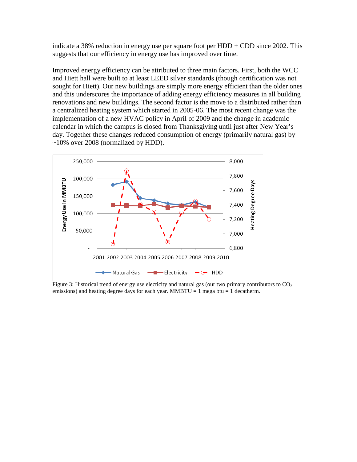indicate a 38% reduction in energy use per square foot per  $HDD + CDD$  since 2002. This suggests that our efficiency in energy use has improved over time.

Improved energy efficiency can be attributed to three main factors. First, both the WCC and Hiett hall were built to at least LEED silver standards (though certification was not sought for Hiett). Our new buildings are simply more energy efficient than the older ones and this underscores the importance of adding energy efficiency measures in all building renovations and new buildings. The second factor is the move to a distributed rather than a centralized heating system which started in 2005-06. The most recent change was the implementation of a new HVAC policy in April of 2009 and the change in academic calendar in which the campus is closed from Thanksgiving until just after New Year's day. Together these changes reduced consumption of energy (primarily natural gas) by ~10% over 2008 (normalized by HDD).



Figure 3: Historical trend of energy use electicity and natural gas (our two primary contributors to  $CO<sub>2</sub>$ emissions) and heating degree days for each year. MMBTU = 1 mega btu = 1 decatherm.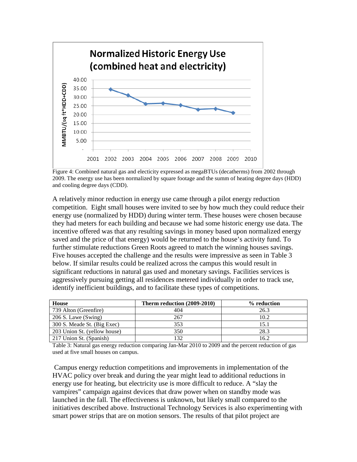

Figure 4: Combined natural gas and electicity expressed as megaBTUs (decatherms) from 2002 through 2009. The energy use has been normalized by square footage and the summ of heating degree days (HDD) and cooling degree days (CDD).

A relatively minor reduction in energy use came through a pilot energy reduction competition. Eight small houses were invited to see by how much they could reduce their energy use (normalized by HDD) during winter term. These houses were chosen because they had meters for each building and because we had some historic energy use data. The incentive offered was that any resulting savings in money based upon normalized energy saved and the price of that energy) would be returned to the house's activity fund. To further stimulate reductions Green Roots agreed to match the winning houses savings. Five houses accepted the challenge and the results were impressive as seen in Table 3 below. If similar results could be realized across the campus this would result in significant reductions in natural gas used and monetary savings. Facilities services is aggressively pursuing getting all residences metered individually in order to track use, identify inefficient buildings, and to facilitate these types of competitions.

| House                        | Therm reduction (2009-2010) | % reduction |  |
|------------------------------|-----------------------------|-------------|--|
| 739 Alton (Greenfire)        | 404                         | 26.3        |  |
| 206 S. Lawe (Swing)          | 267                         | 10.2        |  |
| 300 S. Meade St. (Big Exec)  | 353                         | 15.1        |  |
| 203 Union St. (yellow house) | 350                         | 28.3        |  |
| 217 Union St. (Spanish)      |                             | 16.2        |  |

Table 3: Natural gas energy reduction comparing Jan-Mar 2010 to 2009 and the percent reduction of gas used at five small houses on campus.

Campus energy reduction competitions and improvements in implementation of the HVAC policy over break and during the year might lead to additional reductions in energy use for heating, but electricity use is more difficult to reduce. A "slay the vampires" campaign against devices that draw power when on standby mode was launched in the fall. The effectiveness is unknown, but likely small compared to the initiatives described above. Instructional Technology Services is also experimenting with smart power strips that are on motion sensors. The results of that pilot project are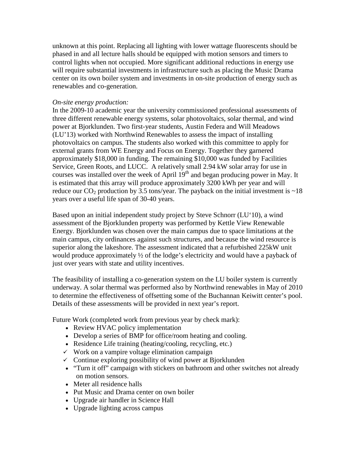unknown at this point. Replacing all lighting with lower wattage fluorescents should be phased in and all lecture halls should be equipped with motion sensors and timers to control lights when not occupied. More significant additional reductions in energy use will require substantial investments in infrastructure such as placing the Music Drama center on its own boiler system and investments in on-site production of energy such as renewables and co-generation.

#### *On-site energy production:*

In the 2009-10 academic year the university commissioned professional assessments of three different renewable energy systems, solar photovoltaics, solar thermal, and wind power at Bjorklunden. Two first-year students, Austin Federa and Will Meadows (LU'13) worked with Northwind Renewables to assess the impact of installing photovoltaics on campus. The students also worked with this committee to apply for external grants from WE Energy and Focus on Energy. Together they garnered approximately \$18,000 in funding. The remaining \$10,000 was funded by Facilities Service, Green Roots, and LUCC. A relatively small 2.94 kW solar array for use in courses was installed over the week of April 19<sup>th</sup> and began producing power in May. It is estimated that this array will produce approximately 3200 kWh per year and will reduce our  $CO_2$  production by 3.5 tons/year. The payback on the initial investment is  $\sim$ 18 years over a useful life span of 30-40 years.

Based upon an initial independent study project by Steve Schnorr (LU'10), a wind assessment of the Bjorklunden property was performed by Kettle View Renewable Energy. Bjorklunden was chosen over the main campus due to space limitations at the main campus, city ordinances against such structures, and because the wind resource is superior along the lakeshore. The assessment indicated that a refurbished 225kW unit would produce approximately  $\frac{1}{2}$  of the lodge's electricity and would have a payback of just over years with state and utility incentives.

The feasibility of installing a co-generation system on the LU boiler system is currently underway. A solar thermal was performed also by Northwind renewables in May of 2010 to determine the effectiveness of offsetting some of the Buchannan Keiwitt center's pool. Details of these assessments will be provided in next year's report.

Future Work (completed work from previous year by check mark):

- Review HVAC policy implementation
- Develop a series of BMP for office/room heating and cooling.
- Residence Life training (heating/cooling, recycling, etc.)
- $\checkmark$  Work on a vampire voltage elimination campaign
- $\checkmark$  Continue exploring possibility of wind power at Bjorklunden
- "Turn it off" campaign with stickers on bathroom and other switches not already on motion sensors.
- Meter all residence halls
- Put Music and Drama center on own boiler
- Upgrade air handler in Science Hall
- Upgrade lighting across campus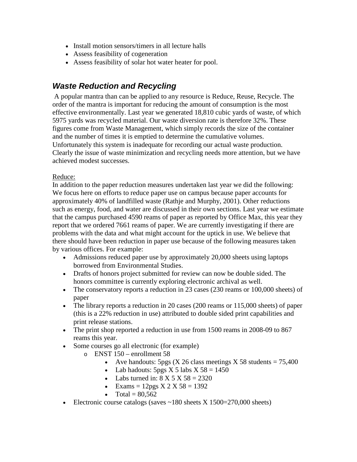- Install motion sensors/timers in all lecture halls
- Assess feasibility of cogeneration
- Assess feasibility of solar hot water heater for pool.

### *Waste Reduction and Recycling*

A popular mantra than can be applied to any resource is Reduce, Reuse, Recycle. The order of the mantra is important for reducing the amount of consumption is the most effective environmentally. Last year we generated 18,810 cubic yards of waste, of which 5975 yards was recycled material. Our waste diversion rate is therefore 32%. These figures come from Waste Management, which simply records the size of the container and the number of times it is emptied to determine the cumulative volumes. Unfortunately this system is inadequate for recording our actual waste production. Clearly the issue of waste minimization and recycling needs more attention, but we have achieved modest successes.

#### Reduce:

In addition to the paper reduction measures undertaken last year we did the following: We focus here on efforts to reduce paper use on campus because paper accounts for approximately 40% of landfilled waste (Rathje and Murphy, 2001). Other reductions such as energy, food, and water are discussed in their own sections. Last year we estimate that the campus purchased 4590 reams of paper as reported by Office Max, this year they report that we ordered 7661 reams of paper. We are currently investigating if there are problems with the data and what might account for the uptick in use. We believe that there should have been reduction in paper use because of the following measures taken by various offices. For example:

- Admissions reduced paper use by approximately 20,000 sheets using laptops borrowed from Environmental Studies.
- Drafts of honors project submitted for review can now be double sided. The honors committee is currently exploring electronic archival as well.
- The conservatory reports a reduction in 23 cases (230 reams or 100,000 sheets) of paper
- The library reports a reduction in 20 cases (200 reams or 115,000 sheets) of paper (this is a 22% reduction in use) attributed to double sided print capabilities and print release stations.
- The print shop reported a reduction in use from 1500 reams in 2008-09 to 867 reams this year.
- Some courses go all electronic (for example)
	- o ENST 150 enrollment 58
		- Ave handouts: 5pgs (X 26 class meetings X 58 students  $= 75,400$
		- Lab hadouts:  $5pgs \times 5$  labs  $X 58 = 1450$
		- Labs turned in:  $8 \text{ X } 5 \text{ X } 58 = 2320$
		- Exams =  $12pgs \times 2 \times 58 = 1392$
		- Total =  $80.562$
- Electronic course catalogs (saves  $\sim$ 180 sheets X 1500=270,000 sheets)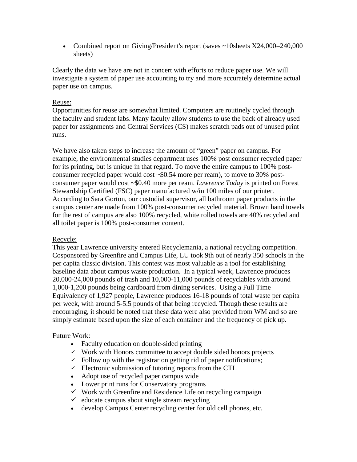• Combined report on Giving/President's report (saves ~10sheets X24,000=240,000 sheets)

Clearly the data we have are not in concert with efforts to reduce paper use. We will investigate a system of paper use accounting to try and more accurately determine actual paper use on campus.

#### Reuse:

Opportunities for reuse are somewhat limited. Computers are routinely cycled through the faculty and student labs. Many faculty allow students to use the back of already used paper for assignments and Central Services (CS) makes scratch pads out of unused print runs.

We have also taken steps to increase the amount of "green" paper on campus. For example, the environmental studies department uses 100% post consumer recycled paper for its printing, but is unique in that regard. To move the entire campus to 100% postconsumer recycled paper would cost  $\sim$ \$0.54 more per ream), to move to 30% postconsumer paper would cost ~\$0.40 more per ream. *Lawrence Today* is printed on Forest Stewardship Certified (FSC) paper manufactured w/in 100 miles of our printer. According to Sara Gorton, our custodial supervisor, all bathroom paper products in the campus center are made from 100% post-consumer recycled material. Brown hand towels for the rest of campus are also 100% recycled, white rolled towels are 40% recycled and all toilet paper is 100% post-consumer content.

#### Recycle:

This year Lawrence university entered Recyclemania, a national recycling competition. Cosponsored by Greenfire and Campus Life, LU took 9th out of nearly 350 schools in the per capita classic division. This contest was most valuable as a tool for establishing baseline data about campus waste production. In a typical week, Lawrence produces 20,000-24,000 pounds of trash and 10,000-11,000 pounds of recyclables with around 1,000-1,200 pounds being cardboard from dining services. Using a Full Time Equivalency of 1,927 people, Lawrence produces 16-18 pounds of total waste per capita per week, with around 5-5.5 pounds of that being recycled. Though these results are encouraging, it should be noted that these data were also provided from WM and so are simply estimate based upon the size of each container and the frequency of pick up.

#### Future Work:

- Faculty education on double-sided printing
- $\checkmark$  Work with Honors committee to accept double sided honors projects
- $\checkmark$  Follow up with the registrar on getting rid of paper notifications;
- $\checkmark$  Electronic submission of tutoring reports from the CTL
- Adopt use of recycled paper campus wide
- Lower print runs for Conservatory programs
- $\checkmark$  Work with Greenfire and Residence Life on recycling campaign
- $\checkmark$  educate campus about single stream recycling
- develop Campus Center recycling center for old cell phones, etc.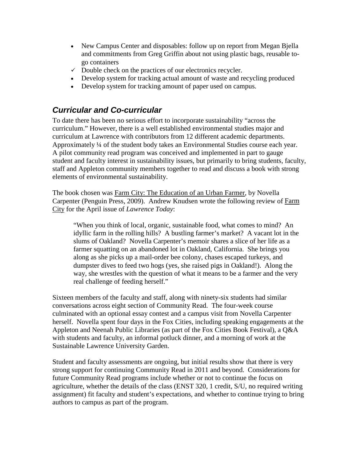- New Campus Center and disposables: follow up on report from Megan Bjella and commitments from Greg Griffin about not using plastic bags, reusable togo containers
- $\checkmark$  Double check on the practices of our electronics recycler.
- Develop system for tracking actual amount of waste and recycling produced
- Develop system for tracking amount of paper used on campus.

## *Curricular and Co-curricular*

To date there has been no serious effort to incorporate sustainability "across the curriculum." However, there is a well established environmental studies major and curriculum at Lawrence with contributors from 12 different academic departments. Approximately ¼ of the student body takes an Environmental Studies course each year. A pilot community read program was conceived and implemented in part to gauge student and faculty interest in sustainability issues, but primarily to bring students, faculty, staff and Appleton community members together to read and discuss a book with strong elements of environmental sustainability.

The book chosen was Farm City: The Education of an Urban Farmer, by Novella Carpenter (Penguin Press, 2009). Andrew Knudsen wrote the following review of Farm City for the April issue of *Lawrence Today*:

"When you think of local, organic, sustainable food, what comes to mind? An idyllic farm in the rolling hills? A bustling farmer's market? A vacant lot in the slums of Oakland? Novella Carpenter's memoir shares a slice of her life as a farmer squatting on an abandoned lot in Oakland, California. She brings you along as she picks up a mail-order bee colony, chases escaped turkeys, and dumpster dives to feed two hogs (yes, she raised pigs in Oakland!). Along the way, she wrestles with the question of what it means to be a farmer and the very real challenge of feeding herself."

Sixteen members of the faculty and staff, along with ninety-six students had similar conversations across eight section of Community Read. The four-week course culminated with an optional essay contest and a campus visit from Novella Carpenter herself. Novella spent four days in the Fox Cities, including speaking engagements at the Appleton and Neenah Public Libraries (as part of the Fox Cities Book Festival), a Q&A with students and faculty, an informal potluck dinner, and a morning of work at the Sustainable Lawrence University Garden.

Student and faculty assessments are ongoing, but initial results show that there is very strong support for continuing Community Read in 2011 and beyond. Considerations for future Community Read programs include whether or not to continue the focus on agriculture, whether the details of the class (ENST 320, 1 credit, S/U, no required writing assignment) fit faculty and student's expectations, and whether to continue trying to bring authors to campus as part of the program.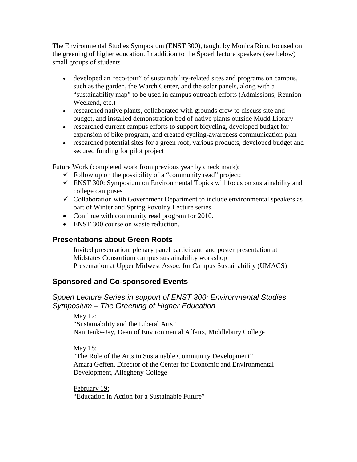The Environmental Studies Symposium (ENST 300), taught by Monica Rico, focused on the greening of higher education. In addition to the Spoerl lecture speakers (see below) small groups of students

- developed an "eco-tour" of sustainability-related sites and programs on campus, such as the garden, the Warch Center, and the solar panels, along with a "sustainability map" to be used in campus outreach efforts (Admissions, Reunion Weekend, etc.)
- researched native plants, collaborated with grounds crew to discuss site and budget, and installed demonstration bed of native plants outside Mudd Library
- researched current campus efforts to support bicycling, developed budget for expansion of bike program, and created cycling-awareness communication plan
- researched potential sites for a green roof, various products, developed budget and secured funding for pilot project

Future Work (completed work from previous year by check mark):

- $\checkmark$  Follow up on the possibility of a "community read" project;
- $\checkmark$  ENST 300: Symposium on Environmental Topics will focus on sustainability and college campuses
- $\checkmark$  Collaboration with Government Department to include environmental speakers as part of Winter and Spring Povolny Lecture series.
- Continue with community read program for 2010.
- ENST 300 course on waste reduction.

#### **Presentations about Green Roots**

Invited presentation, plenary panel participant, and poster presentation at Midstates Consortium campus sustainability workshop Presentation at Upper Midwest Assoc. for Campus Sustainability (UMACS)

#### **Sponsored and Co-sponsored Events**

#### *Spoerl Lecture Series in support of ENST 300: Environmental Studies Symposium – The Greening of Higher Education*

May 12:

"Sustainability and the Liberal Arts" Nan Jenks-Jay, Dean of Environmental Affairs, Middlebury College

#### May 18:

"The Role of the Arts in Sustainable Community Development" Amara Geffen, Director of the Center for Economic and Environmental Development, Allegheny College

February 19:

"Education in Action for a Sustainable Future"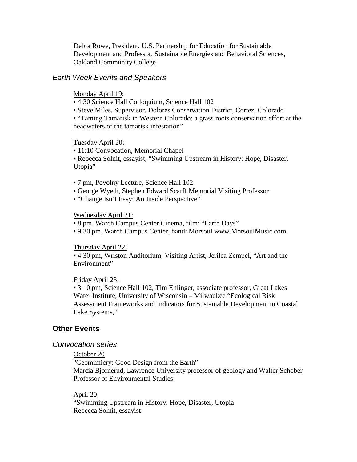Debra Rowe, President, U.S. Partnership for Education for Sustainable Development and Professor, Sustainable Energies and Behavioral Sciences, Oakland Community College

#### *Earth Week Events and Speakers*

Monday April 19:

- 4:30 Science Hall Colloquium, Science Hall 102
- Steve Miles, Supervisor, Dolores Conservation District, Cortez, Colorado

• "Taming Tamarisk in Western Colorado: a grass roots conservation effort at the headwaters of the tamarisk infestation"

#### Tuesday April 20:

• 11:10 Convocation, Memorial Chapel

• Rebecca Solnit, essayist, "Swimming Upstream in History: Hope, Disaster, Utopia"

- 7 pm, Povolny Lecture, Science Hall 102
- George Wyeth, Stephen Edward Scarff Memorial Visiting Professor
- "Change Isn't Easy: An Inside Perspective"

#### Wednesday April 21:

- 8 pm, Warch Campus Center Cinema, film: "Earth Days"
- 9:30 pm, Warch Campus Center, band: Morsoul www.MorsoulMusic.com

#### Thursday April 22:

• 4:30 pm, Wriston Auditorium, Visiting Artist, Jerilea Zempel, "Art and the Environment"

#### Friday April 23:

• 3:10 pm, Science Hall 102, Tim Ehlinger, associate professor, Great Lakes Water Institute, University of Wisconsin – Milwaukee "Ecological Risk Assessment Frameworks and Indicators for Sustainable Development in Coastal Lake Systems,"

#### **Other Events**

#### *Convocation series*

#### October 20

"Geomimicry: Good Design from the Earth" Marcia Bjornerud, Lawrence University professor of geology and Walter Schober Professor of Environmental Studies

#### April 20

"Swimming Upstream in History: Hope, Disaster, Utopia Rebecca Solnit, essayist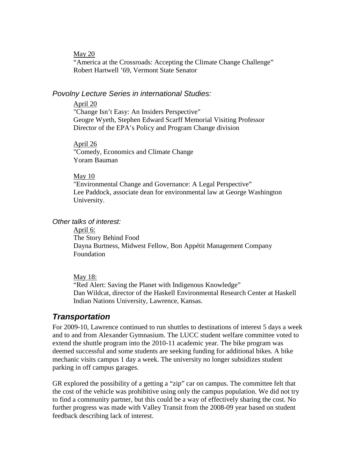May 20

"America at the Crossroads: Accepting the Climate Change Challenge" Robert Hartwell '69, Vermont State Senator

#### *Povolny Lecture Series in international Studies:*

#### April 20

"Change Isn't Easy: An Insiders Perspective" Geogre Wyeth, Stephen Edward Scarff Memorial Visiting Professor Director of the EPA's Policy and Program Change division

#### April 26

"Comedy, Economics and Climate Change Yoram Bauman

#### May 10

"Environmental Change and Governance: A Legal Perspective" Lee Paddock, associate dean for environmental law at George Washington University.

#### *Other talks of interest:*

The Story Behind Food April 6: Dayna Burtness, Midwest Fellow, Bon Appétit Management Company Foundation

#### May 18:

"Red Alert: Saving the Planet with Indigenous Knowledge" Dan Wildcat, director of the Haskell Environmental Research Center at Haskell Indian Nations University, Lawrence, Kansas.

#### *Transportation*

For 2009-10, Lawrence continued to run shuttles to destinations of interest 5 days a week and to and from Alexander Gymnasium. The LUCC student welfare committee voted to extend the shuttle program into the 2010-11 academic year. The bike program was deemed successful and some students are seeking funding for additional bikes. A bike mechanic visits campus 1 day a week. The university no longer subsidizes student parking in off campus garages.

GR explored the possibility of a getting a "zip" car on campus. The committee felt that the cost of the vehicle was prohibitive using only the campus population. We did not try to find a community partner, but this could be a way of effectively sharing the cost. No further progress was made with Valley Transit from the 2008-09 year based on student feedback describing lack of interest.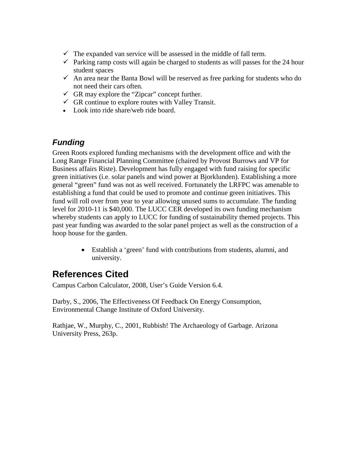- $\checkmark$  The expanded van service will be assessed in the middle of fall term.
- $\checkmark$  Parking ramp costs will again be charged to students as will passes for the 24 hour student spaces
- $\checkmark$  An area near the Banta Bowl will be reserved as free parking for students who do not need their cars often.
- $\checkmark$  GR may explore the "Zipcar" concept further.
- $\checkmark$  GR continue to explore routes with Valley Transit.
- Look into ride share/web ride board.

## *Funding*

Green Roots explored funding mechanisms with the development office and with the Long Range Financial Planning Committee (chaired by Provost Burrows and VP for Business affairs Riste). Development has fully engaged with fund raising for specific green initiatives (i.e. solar panels and wind power at Bjorklunden). Establishing a more general "green" fund was not as well received. Fortunately the LRFPC was amenable to establishing a fund that could be used to promote and continue green initiatives. This fund will roll over from year to year allowing unused sums to accumulate. The funding level for 2010-11 is \$40,000. The LUCC CER developed its own funding mechanism whereby students can apply to LUCC for funding of sustainability themed projects. This past year funding was awarded to the solar panel project as well as the construction of a hoop house for the garden.

> • Establish a 'green' fund with contributions from students, alumni, and university.

# **References Cited**

Campus Carbon Calculator, 2008, User's Guide Version 6.4.

Darby, S., 2006, The Effectiveness Of Feedback On Energy Consumption, Environmental Change Institute of Oxford University.

Rathjae, W., Murphy, C., 2001, Rubbish! The Archaeology of Garbage. Arizona University Press, 263p.